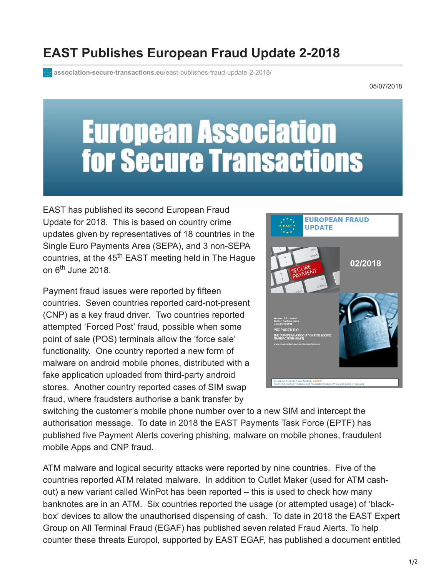## **EAST Publishes European Fraud Update 2-2018**

**[association-secure-transactions.eu](https://www.association-secure-transactions.eu/east-publishes-fraud-update-2-2018/)**/east-publishes-fraud-update-2-2018/

05/07/2018

## **European Association<br>for Secure Transactions**

EAST has published its second European Fraud Update for 2018. This is based on country crime updates given by representatives of 18 countries in the Single Euro Payments Area (SEPA), and 3 non-SEPA countries, at the 45<sup>th</sup> EAST meeting held in The Hague on 6<sup>th</sup> June 2018.

Payment fraud issues were reported by fifteen countries. Seven countries reported card-not-present (CNP) as a key fraud driver. Two countries reported attempted 'Forced Post' fraud, possible when some point of sale (POS) terminals allow the 'force sale' functionality. One country reported a new form of malware on android mobile phones, distributed with a fake application uploaded from third-party android stores. Another country reported cases of SIM swap fraud, where fraudsters authorise a bank transfer by



switching the customer's mobile phone number over to a new SIM and intercept the authorisation message. To date in 2018 the EAST Payments Task Force (EPTF) has published five Payment Alerts covering phishing, malware on mobile phones, fraudulent mobile Apps and CNP fraud.

ATM malware and logical security attacks were reported by nine countries. Five of the countries reported ATM related malware. In addition to Cutlet Maker (used for ATM cashout) a new variant called WinPot has been reported – this is used to check how many banknotes are in an ATM. Six countries reported the usage (or attempted usage) of 'blackbox' devices to allow the unauthorised dispensing of cash. To date in 2018 the EAST Expert Group on All Terminal Fraud (EGAF) has published seven related Fraud Alerts. To help counter these threats Europol, supported by EAST EGAF, has published a document entitled